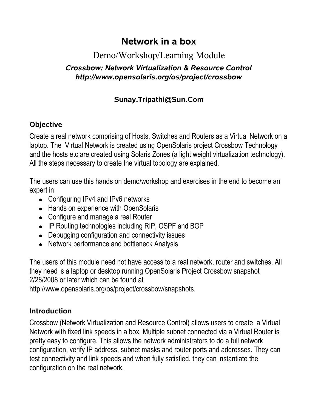# **Network in a box**

## Demo/Workshop/Learning Module

#### *Crossbow: Network Virtualization & Resource Control http://www.opensolaris.org/os/project/crossbow*

## **Sunay.Tripathi@Sun.Com**

#### **Objective**

Create a real network comprising of Hosts, Switches and Routers as a Virtual Network on a laptop. The Virtual Network is created using OpenSolaris project Crossbow Technology and the hosts etc are created using Solaris Zones (a light weight virtualization technology). All the steps necessary to create the virtual topology are explained.

The users can use this hands on demo/workshop and exercises in the end to become an expert in

- Configuring IPv4 and IPv6 networks
- Hands on experience with OpenSolaris
- Configure and manage a real Router
- IP Routing technologies including RIP, OSPF and BGP
- Debugging configuration and connectivity issues
- Network performance and bottleneck Analysis

The users of this module need not have access to a real network, router and switches. All they need is a laptop or desktop running OpenSolaris Project Crossbow snapshot 2/28/2008 or later which can be found at

http://www.opensolaris.org/os/project/crossbow/snapshots.

#### **Introduction**

Crossbow (Network Virtualization and Resource Control) allows users to create a Virtual Network with fixed link speeds in a box. Multiple subnet connected via a Virtual Router is pretty easy to configure. This allows the network administrators to do a full network configuration, verify IP address, subnet masks and router ports and addresses. They can test connectivity and link speeds and when fully satisfied, they can instantiate the configuration on the real network.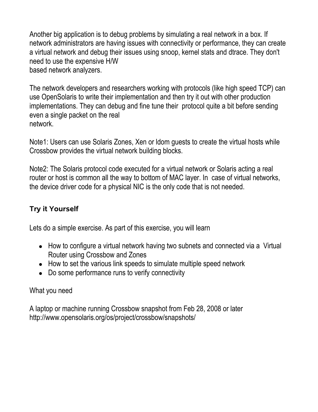Another big application is to debug problems by simulating a real network in a box. If network administrators are having issues with connectivity or performance, they can create a virtual network and debug their issues using snoop, kernel stats and dtrace. They don't need to use the expensive H/W based network analyzers.

The network developers and researchers working with protocols (like high speed TCP) can use OpenSolaris to write their implementation and then try it out with other production implementations. They can debug and fine tune their protocol quite a bit before sending even a single packet on the real network.

Note1: Users can use Solaris Zones, Xen or ldom guests to create the virtual hosts while Crossbow provides the virtual network building blocks.

Note2: The Solaris protocol code executed for a virtual network or Solaris acting a real router or host is common all the way to bottom of MAC layer. In case of virtual networks, the device driver code for a physical NIC is the only code that is not needed.

### **Try it Yourself**

Lets do a simple exercise. As part of this exercise, you will learn

- How to configure a virtual network having two subnets and connected via a Virtual Router using Crossbow and Zones
- How to set the various link speeds to simulate multiple speed network
- Do some performance runs to verify connectivity

#### What you need

A laptop or machine running Crossbow snapshot from Feb 28, 2008 or later http://www.opensolaris.org/os/project/crossbow/snapshots/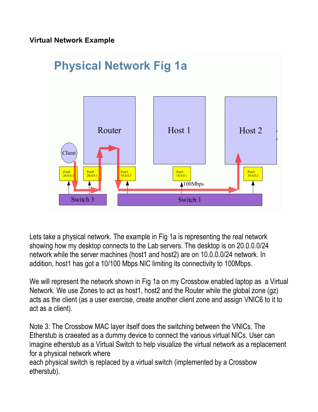#### **Virtual Network Example**



Lets take a physical network. The example in Fig 1a is representing the real network showing how my desktop connects to the Lab servers. The desktop is on 20.0.0.0/24 network while the server machines (host1 and host2) are on 10.0.0.0/24 network. In addition, host1 has got a 10/100 Mbps NIC limiting its connectivity to 100Mbps.

We will represent the network shown in Fig 1a on my Crossbow enabled laptop as a Virtual Network. We use Zones to act as host1, host2 and the Router while the global zone (gz) acts as the client (as a user exercise, create another client zone and assign VNIC6 to it to act as a client).

Note 3: The Crossbow MAC layer itself does the switching between the VNICs. The Etherstub is craeated as a dummy device to connect the various virtual NICs. User can imagine etherstub as a Virtual Switch to help visualize the virtual network as a replacement for a physical network where

each physical switch is replaced by a virtual switch (implemented by a Crossbow etherstub).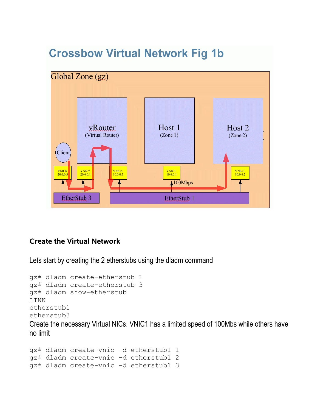

# **Crossbow Virtual Network Fig 1b**

#### **Create the Virtual Network**

Lets start by creating the 2 etherstubs using the dladm command

```
gz# dladm create-etherstub 1
gz# dladm create-etherstub 3
gz# dladm show-etherstub
LINK
etherstub1
etherstub3
```
Create the necessary Virtual NICs. VNIC1 has a limited speed of 100Mbs while others have no limit

```
gz# dladm create-vnic -d etherstub1 1
gz# dladm create-vnic -d etherstub1 2
gz# dladm create-vnic -d etherstub1 3
```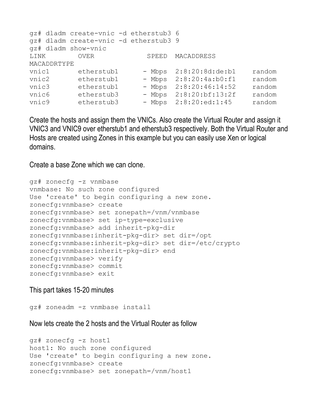```
gz# dladm create-vnic -d etherstub3 6
gz# dladm create-vnic -d etherstub3 9
gz# dladm show-vnic
LINK OVER SPEED MACADDRESS
MACADDRTYPE 
vnic1 etherstub1 - Mbps 2:8:20:8d:de:b1 random
vnic2 etherstub1 - Mbps 2:8:20:4a:b0:f1 random
vnic3 etherstub1 - Mbps 2:8:20:46:14:52 random
vnic6 etherstub3 - Mbps 2:8:20:bf:13:2f random
vnic9 etherstub3 - Mbps 2:8:20:ed:1:45 random
```
Create the hosts and assign them the VNICs. Also create the Virtual Router and assign it VNIC3 and VNIC9 over etherstub1 and etherstub3 respectively. Both the Virtual Router and Hosts are created using Zones in this example but you can easily use Xen or logical domains.

Create a base Zone which we can clone.

```
gz# zonecfg -z vnmbase
vnmbase: No such zone configured
Use 'create' to begin configuring a new zone.
zonecfg:vnmbase> create
zonecfg:vnmbase> set zonepath=/vnm/vnmbase
zonecfg:vnmbase> set ip-type=exclusive
zonecfg:vnmbase> add inherit-pkg-dir
zonecfg:vnmbase:inherit-pkg-dir> set dir=/opt
zonecfg:vnmbase:inherit-pkg-dir> set dir=/etc/crypto
zonecfg:vnmbase:inherit-pkg-dir> end
zonecfg:vnmbase> verify
zonecfg:vnmbase> commit
zonecfg:vnmbase> exit
```
#### This part takes 15-20 minutes

gz# zoneadm -z vnmbase install

Now lets create the 2 hosts and the Virtual Router as follow

```
gz# zonecfg -z host1
host1: No such zone configured
Use 'create' to begin configuring a new zone.
zonecfg:vnmbase> create
zonecfg:vnmbase> set zonepath=/vnm/host1
```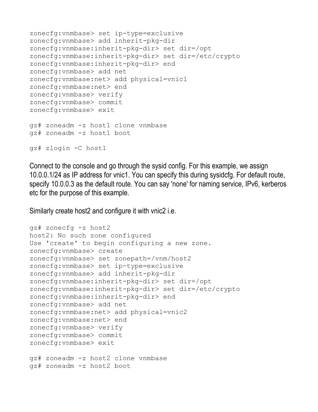```
zonecfg:vnmbase> set ip-type=exclusive
zonecfg:vnmbase> add inherit-pkg-dir
zonecfg:vnmbase:inherit-pkg-dir> set dir=/opt
zonecfg:vnmbase:inherit-pkg-dir> set dir=/etc/crypto
zonecfg:vnmbase:inherit-pkg-dir> end
zonecfg:vnmbase> add net
zonecfg:vnmbase:net> add physical=vnic1
zonecfg:vnmbase:net> end
zonecfg:vnmbase> verify
zonecfg:vnmbase> commit
zonecfg:vnmbase> exit
gz# zoneadm -z host1 clone vnmbase
gz# zoneadm -z host1 boot
gz# zlogin -C host1
```
Connect to the console and go through the sysid config. For this example, we assign 10.0.0.1/24 as IP address for vnic1. You can specify this during sysidcfg. For default route, specify 10.0.0.3 as the default route. You can say 'none' for naming service, IPv6, kerberos etc for the purpose of this example.

Similarly create host2 and configure it with vnic2 i.e.

```
gz# zonecfg -z host2
host2: No such zone configured
Use 'create' to begin configuring a new zone.
zonecfg:vnmbase> create
zonecfg:vnmbase> set zonepath=/vnm/host2
zonecfg:vnmbase> set ip-type=exclusive
zonecfg:vnmbase> add inherit-pkg-dir
zonecfg:vnmbase:inherit-pkg-dir> set dir=/opt
zonecfg:vnmbase:inherit-pkg-dir> set dir=/etc/crypto
zonecfg:vnmbase:inherit-pkg-dir> end
zonecfg:vnmbase> add net
zonecfg:vnmbase:net> add physical=vnic2
zonecfg:vnmbase:net> end
zonecfg:vnmbase> verify
zonecfg:vnmbase> commit
zonecfg:vnmbase> exit
gz# zoneadm -z host2 clone vnmbase
gz# zoneadm -z host2 boot
```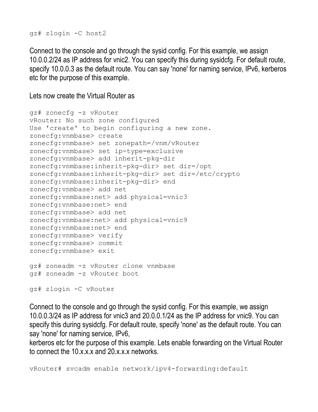gz# zlogin -C host2

Connect to the console and go through the sysid config. For this example, we assign 10.0.0.2/24 as IP address for vnic2. You can specify this during sysidcfg. For default route, specify 10.0.0.3 as the default route. You can say 'none' for naming service, IPv6, kerberos etc for the purpose of this example.

Lets now create the Virtual Router as

```
gz# zonecfg -z vRouter
vRouter: No such zone configured
Use 'create' to begin configuring a new zone.
zonecfg:vnmbase> create
zonecfg:vnmbase> set zonepath=/vnm/vRouter
zonecfg:vnmbase> set ip-type=exclusive
zonecfg:vnmbase> add inherit-pkg-dir
zonecfg:vnmbase:inherit-pkg-dir> set dir=/opt
zonecfg:vnmbase:inherit-pkg-dir> set dir=/etc/crypto
zonecfg:vnmbase:inherit-pkg-dir> end
zonecfg:vnmbase> add net
zonecfg:vnmbase:net> add physical=vnic3
zonecfg:vnmbase:net> end
zonecfg:vnmbase> add net
zonecfg:vnmbase:net> add physical=vnic9
zonecfg:vnmbase:net> end
zonecfg:vnmbase> verify
zonecfg:vnmbase> commit
zonecfg:vnmbase> exit
gz# zoneadm -z vRouter clone vnmbase
gz# zoneadm -z vRouter boot
gz# zlogin -C vRouter
```
Connect to the console and go through the sysid config. For this example, we assign 10.0.0.3/24 as IP address for vnic3 and 20.0.0.1/24 as the IP address for vnic9. You can specify this during sysidcfg. For default route, specify 'none' as the default route. You can say 'none' for naming service, IPv6,

kerberos etc for the purpose of this example. Lets enable forwarding on the Virtual Router to connect the 10.x.x.x and 20.x.x.x networks.

vRouter# svcadm enable network/ipv4-forwarding:default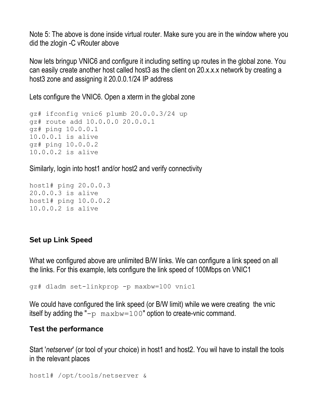Note 5: The above is done inside virtual router. Make sure you are in the window where you did the zlogin -C vRouter above

Now lets bringup VNIC6 and configure it including setting up routes in the global zone. You can easily create another host called host3 as the client on 20.x.x.x network by creating a host3 zone and assigning it 20.0.0.1/24 IP address

Lets configure the VNIC6. Open a xterm in the global zone

```
gz# ifconfig vnic6 plumb 20.0.0.3/24 up
gz# route add 10.0.0.0 20.0.0.1
gz# ping 10.0.0.1
10.0.0.1 is alive
gz# ping 10.0.0.2
10.0.0.2 is alive
```
Similarly, login into host1 and/or host2 and verify connectivity

```
host1# ping 20.0.0.3
20.0.0.3 is alive
host1# ping 10.0.0.2
10.0.0.2 is alive
```
#### **Set up Link Speed**

What we configured above are unlimited B/W links. We can configure a link speed on all the links. For this example, lets configure the link speed of 100Mbps on VNIC1

gz# dladm set-linkprop -p maxbw=100 vnic1

We could have configured the link speed (or B/W limit) while we were creating the vnic itself by adding the " $-p$  maxbw=100" option to create-vnic command.

#### **Test the performance**

Start '*netserver*' (or tool of your choice) in host1 and host2. You wil have to install the tools in the relevant places

```
host1# /opt/tools/netserver &
```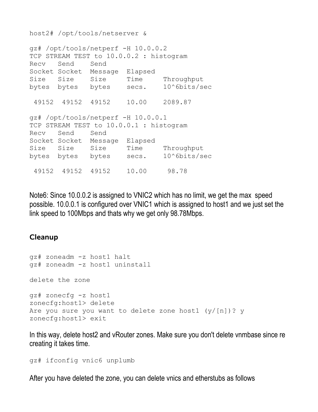host2# /opt/tools/netserver &

```
gz# /opt/tools/netperf -H 10.0.0.2
TCP STREAM TEST to 10.0.0.2 : histogram
Recv Send Send 
Socket Socket Message Elapsed 
Size Size Size Time Throughput 
bytes bytes bytes secs. 10^6bits/sec 
  49152 49152 49152 10.00 2089.87 
gz# /opt/tools/netperf -H 10.0.0.1
TCP STREAM TEST to 10.0.0.1 : histogram
Recv Send Send 
Socket Socket Message Elapsed 
Size Size Size Time Throughput
bytes bytes bytes secs. 10^6bits/sec
  49152 49152 49152 10.00 98.78
```
Note6: Since 10.0.0.2 is assigned to VNIC2 which has no limit, we get the max speed possible. 10.0.0.1 is configured over VNIC1 which is assigned to host1 and we just set the link speed to 100Mbps and thats why we get only 98.78Mbps.

#### **Cleanup**

```
gz# zoneadm -z host1 halt
gz# zoneadm -z host1 uninstall
delete the zone
gz# zonecfg -z host1
zonecfg:host1> delete
Are you sure you want to delete zone host1 (y/[n])? y
zonecfg:host1> exit
```
In this way, delete host2 and vRouter zones. Make sure you don't delete vnmbase since re creating it takes time.

gz# ifconfig vnic6 unplumb

After you have deleted the zone, you can delete vnics and etherstubs as follows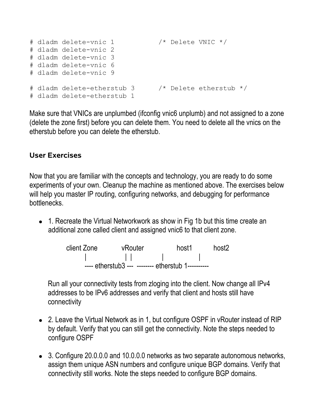```
# dladm delete-vnic 1 /* Delete VNIC */
# dladm delete-vnic 2
# dladm delete-vnic 3
# dladm delete-vnic 6
# dladm delete-vnic 9
# dladm delete-etherstub 3 /* Delete etherstub */
# dladm delete-etherstub 1
```
Make sure that VNICs are unplumbed (ifconfig vnic6 unplumb) and not assigned to a zone (delete the zone first) before you can delete them. You need to delete all the vnics on the etherstub before you can delete the etherstub.

#### **User Exercises**

Now that you are familiar with the concepts and technology, you are ready to do some experiments of your own. Cleanup the machine as mentioned above. The exercises below will help you master IP routing, configuring networks, and debugging for performance bottlenecks.

● 1. Recreate the Virtual Networkwork as show in Fig 1b but this time create an additional zone called client and assigned vnic6 to that client zone.



Run all your connectivity tests from zloging into the client. Now change all IPv4 addresses to be IPv6 addresses and verify that client and hosts still have connectivity

- 2. Leave the Virtual Network as in 1, but configure OSPF in vRouter instead of RIP by default. Verify that you can still get the connectivity. Note the steps needed to configure OSPF
- 3. Configure 20.0.0.0 and 10.0.0.0 networks as two separate autonomous networks, assign them unique ASN numbers and configure unique BGP domains. Verify that connectivity still works. Note the steps needed to configure BGP domains.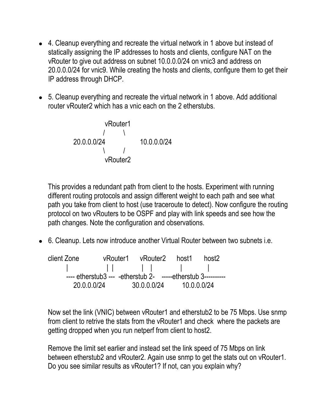- 4. Cleanup everything and recreate the virtual network in 1 above but instead of statically assigning the IP addresses to hosts and clients, configure NAT on the vRouter to give out address on subnet 10.0.0.0/24 on vnic3 and address on 20.0.0.0/24 for vnic9. While creating the hosts and clients, configure them to get their IP address through DHCP.
- 5. Cleanup everything and recreate the virtual network in 1 above. Add additional router vRouter2 which has a vnic each on the 2 etherstubs.

| vRouter1 |                            |                            |
|----------|----------------------------|----------------------------|
| /        | \n $\sqrt{20.0.0.0/24}$ \n | \n $\sqrt{20.0.0.0/24}$ \n |
| vRouter2 |                            |                            |

This provides a redundant path from client to the hosts. Experiment with running different routing protocols and assign different weight to each path and see what path you take from client to host (use traceroute to detect). Now configure the routing protocol on two vRouters to be OSPF and play with link speeds and see how the path changes. Note the configuration and observations.

● 6. Cleanup. Lets now introduce another Virtual Router between two subnets i.e.

client Zone vRouter1 vRouter2 host1 host2 | | | | | | | ---- etherstub3 --- -etherstub 2- -----etherstub 3----------20.0.0.0/24 30.0.0.0/24 10.0.0.0/24

Now set the link (VNIC) between vRouter1 and etherstub2 to be 75 Mbps. Use snmp from client to retrive the stats from the vRouter1 and check where the packets are getting dropped when you run netperf from client to host2.

Remove the limit set earlier and instead set the link speed of 75 Mbps on link between etherstub2 and vRouter2. Again use snmp to get the stats out on vRouter1. Do you see similar results as vRouter1? If not, can you explain why?